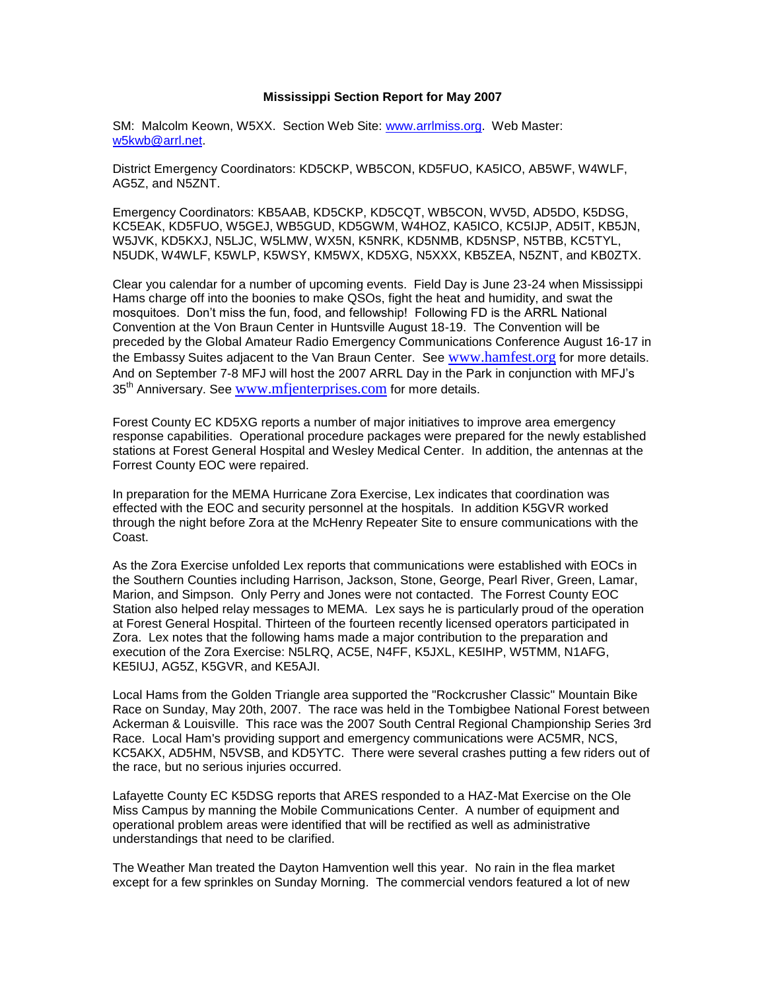## **Mississippi Section Report for May 2007**

SM: Malcolm Keown, W5XX. Section Web Site: [www.arrlmiss.org.](http://www.arrlmiss.org/) Web Master: [w5kwb@arrl.net.](mailto:w5kwb@arrl.net)

District Emergency Coordinators: KD5CKP, WB5CON, KD5FUO, KA5ICO, AB5WF, W4WLF, AG5Z, and N5ZNT.

Emergency Coordinators: KB5AAB, KD5CKP, KD5CQT, WB5CON, WV5D, AD5DO, K5DSG, KC5EAK, KD5FUO, W5GEJ, WB5GUD, KD5GWM, W4HOZ, KA5ICO, KC5IJP, AD5IT, KB5JN, W5JVK, KD5KXJ, N5LJC, W5LMW, WX5N, K5NRK, KD5NMB, KD5NSP, N5TBB, KC5TYL, N5UDK, W4WLF, K5WLP, K5WSY, KM5WX, KD5XG, N5XXX, KB5ZEA, N5ZNT, and KB0ZTX.

Clear you calendar for a number of upcoming events. Field Day is June 23-24 when Mississippi Hams charge off into the boonies to make QSOs, fight the heat and humidity, and swat the mosquitoes. Don't miss the fun, food, and fellowship! Following FD is the ARRL National Convention at the Von Braun Center in Huntsville August 18-19. The Convention will be preceded by the Global Amateur Radio Emergency Communications Conference August 16-17 in the Embassy Suites adjacent to the Van Braun Center. See [www.hamfest.org](http://www.hamfest.org/) for more details. And on September 7-8 MFJ will host the 2007 ARRL Day in the Park in conjunction with MFJ's 35<sup>th</sup> Anniversary. See [www.mfjenterprises.com](http://www.mfjenterprises.com/) for more details.

Forest County EC KD5XG reports a number of major initiatives to improve area emergency response capabilities. Operational procedure packages were prepared for the newly established stations at Forest General Hospital and Wesley Medical Center. In addition, the antennas at the Forrest County EOC were repaired.

In preparation for the MEMA Hurricane Zora Exercise, Lex indicates that coordination was effected with the EOC and security personnel at the hospitals. In addition K5GVR worked through the night before Zora at the McHenry Repeater Site to ensure communications with the Coast.

As the Zora Exercise unfolded Lex reports that communications were established with EOCs in the Southern Counties including Harrison, Jackson, Stone, George, Pearl River, Green, Lamar, Marion, and Simpson. Only Perry and Jones were not contacted. The Forrest County EOC Station also helped relay messages to MEMA. Lex says he is particularly proud of the operation at Forest General Hospital. Thirteen of the fourteen recently licensed operators participated in Zora. Lex notes that the following hams made a major contribution to the preparation and execution of the Zora Exercise: N5LRQ, AC5E, N4FF, K5JXL, KE5IHP, W5TMM, N1AFG, KE5IUJ, AG5Z, K5GVR, and KE5AJI.

Local Hams from the Golden Triangle area supported the "Rockcrusher Classic" Mountain Bike Race on Sunday, May 20th, 2007. The race was held in the Tombigbee National Forest between Ackerman & Louisville. This race was the 2007 South Central Regional Championship Series 3rd Race. Local Ham's providing support and emergency communications were AC5MR, NCS, KC5AKX, AD5HM, N5VSB, and KD5YTC. There were several crashes putting a few riders out of the race, but no serious injuries occurred.

Lafayette County EC K5DSG reports that ARES responded to a HAZ-Mat Exercise on the Ole Miss Campus by manning the Mobile Communications Center. A number of equipment and operational problem areas were identified that will be rectified as well as administrative understandings that need to be clarified.

The Weather Man treated the Dayton Hamvention well this year. No rain in the flea market except for a few sprinkles on Sunday Morning. The commercial vendors featured a lot of new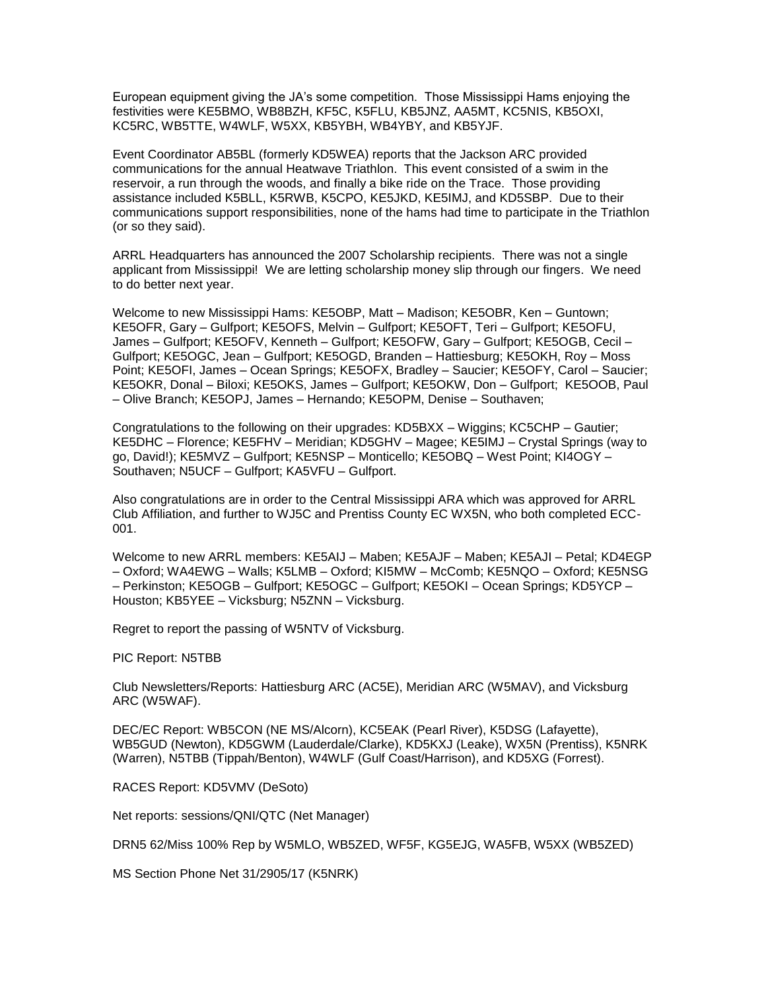European equipment giving the JA's some competition. Those Mississippi Hams enjoying the festivities were KE5BMO, WB8BZH, KF5C, K5FLU, KB5JNZ, AA5MT, KC5NIS, KB5OXI, KC5RC, WB5TTE, W4WLF, W5XX, KB5YBH, WB4YBY, and KB5YJF.

Event Coordinator AB5BL (formerly KD5WEA) reports that the Jackson ARC provided communications for the annual Heatwave Triathlon. This event consisted of a swim in the reservoir, a run through the woods, and finally a bike ride on the Trace. Those providing assistance included K5BLL, K5RWB, K5CPO, KE5JKD, KE5IMJ, and KD5SBP. Due to their communications support responsibilities, none of the hams had time to participate in the Triathlon (or so they said).

ARRL Headquarters has announced the 2007 Scholarship recipients. There was not a single applicant from Mississippi! We are letting scholarship money slip through our fingers. We need to do better next year.

Welcome to new Mississippi Hams: KE5OBP, Matt – Madison; KE5OBR, Ken – Guntown; KE5OFR, Gary – Gulfport; KE5OFS, Melvin – Gulfport; KE5OFT, Teri – Gulfport; KE5OFU, James – Gulfport; KE5OFV, Kenneth – Gulfport; KE5OFW, Gary – Gulfport; KE5OGB, Cecil – Gulfport; KE5OGC, Jean – Gulfport; KE5OGD, Branden – Hattiesburg; KE5OKH, Roy – Moss Point; KE5OFI, James – Ocean Springs; KE5OFX, Bradley – Saucier; KE5OFY, Carol – Saucier; KE5OKR, Donal – Biloxi; KE5OKS, James – Gulfport; KE5OKW, Don – Gulfport; KE5OOB, Paul – Olive Branch; KE5OPJ, James – Hernando; KE5OPM, Denise – Southaven;

Congratulations to the following on their upgrades: KD5BXX – Wiggins; KC5CHP – Gautier; KE5DHC – Florence; KE5FHV – Meridian; KD5GHV – Magee; KE5IMJ – Crystal Springs (way to go, David!); KE5MVZ – Gulfport; KE5NSP – Monticello; KE5OBQ – West Point; KI4OGY – Southaven; N5UCF – Gulfport; KA5VFU – Gulfport.

Also congratulations are in order to the Central Mississippi ARA which was approved for ARRL Club Affiliation, and further to WJ5C and Prentiss County EC WX5N, who both completed ECC-001.

Welcome to new ARRL members: KE5AIJ – Maben; KE5AJF – Maben; KE5AJI – Petal; KD4EGP – Oxford; WA4EWG – Walls; K5LMB – Oxford; KI5MW – McComb; KE5NQO – Oxford; KE5NSG – Perkinston; KE5OGB – Gulfport; KE5OGC – Gulfport; KE5OKI – Ocean Springs; KD5YCP – Houston; KB5YEE – Vicksburg; N5ZNN – Vicksburg.

Regret to report the passing of W5NTV of Vicksburg.

PIC Report: N5TBB

Club Newsletters/Reports: Hattiesburg ARC (AC5E), Meridian ARC (W5MAV), and Vicksburg ARC (W5WAF).

DEC/EC Report: WB5CON (NE MS/Alcorn), KC5EAK (Pearl River), K5DSG (Lafayette), WB5GUD (Newton), KD5GWM (Lauderdale/Clarke), KD5KXJ (Leake), WX5N (Prentiss), K5NRK (Warren), N5TBB (Tippah/Benton), W4WLF (Gulf Coast/Harrison), and KD5XG (Forrest).

RACES Report: KD5VMV (DeSoto)

Net reports: sessions/QNI/QTC (Net Manager)

DRN5 62/Miss 100% Rep by W5MLO, WB5ZED, WF5F, KG5EJG, WA5FB, W5XX (WB5ZED)

MS Section Phone Net 31/2905/17 (K5NRK)